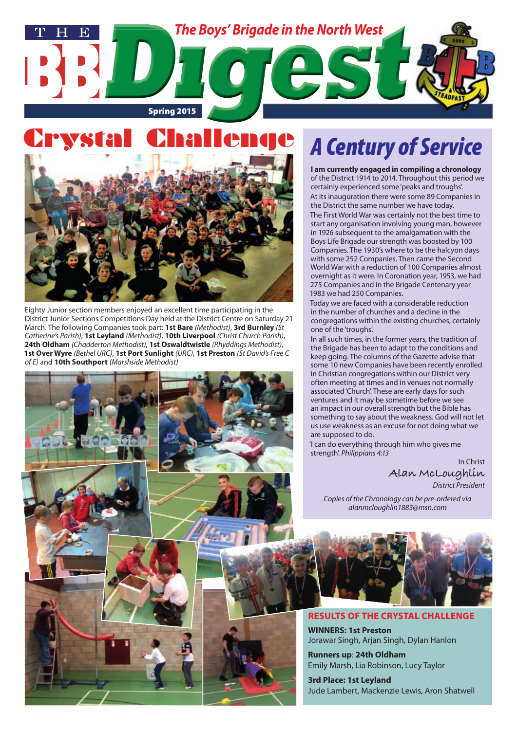

## **Crysta**



Eighty Junior section members enjoyed an excellent time participating in the District Junior Sections Competitions Day held at the District Centre on Saturday 21 March. The following Companies took part: **1st Bare** *(Methodist)*, **3rd Burnley** *(St Catherine's Parish)*, **1st Leyland** *(Methodist)*, **10th Liverpool** *(Christ Church Parish)*, **24th Oldham** *(Chadderton Methodist)*, **1st Oswaldtwistle** *(Rhyddings Methodist)*, **1st Over Wyre** *(Bethel URC)*, **1st Port Sunlight** *(URC)*, **1st Preston** *(St David's Free C of E)* and **10th Southport** *(Marshside Methodist)*

# *A Century of Service*

**I am currently engaged in compiling a chronology** of the District 1914 to 2014. Throughout this period we certainly experienced some 'peaks and troughs'. At its inauguration there were some 89 Companies in the District the same number we have today.

The First World War was certainly not the best time to start any organisation involving young man, however in 1926 subsequent to the amalgamation with the Boys Life Brigade our strength was boosted by 100 Companies. The 1930's where to be the halcyon days with some 252 Companies. Then came the Second World War with a reduction of 100 Companies almost overnight as it were. In Coronation year, 1953, we had 275 Companies and in the Brigade Centenary year 1983 we had 250 Companies.

Today we are faced with a considerable reduction in the number of churches and a decline in the congregations within the existing churches, certainly one of the 'troughs'.

In all such times, in the former years, the tradition of the Brigade has been to adapt to the conditions and keep going. The columns of the Gazette advise that some 10 new Companies have been recently enrolled in Christian congregations within our District very often meeting at times and in venues not normally associated 'Church'. These are early days for such ventures and it may be sometime before we see an impact in our overall strength but the Bible has something to say about the weakness. God will not let us use weakness as an excuse for not doing what we are supposed to do.

'I can do everything through him who gives me strength'. *Philippians 4:13*

> In Christ **Alan McLoughlin**

*District President*

*Copies of the Chronology can be pre-ordered via alanmcloughlin1883@msn.com*



#### **RESULTS OF THE CRYSTAL CHALLENGE**

**WINNERS: 1st Preston** Jorawar Singh, Arjan Singh, Dylan Hanlon

**Runners up**: **24th Oldham** Emily Marsh, Lia Robinson, Lucy Taylor

**3rd Place: 1st Leyland** Jude Lambert, Mackenzie Lewis, Aron Shatwell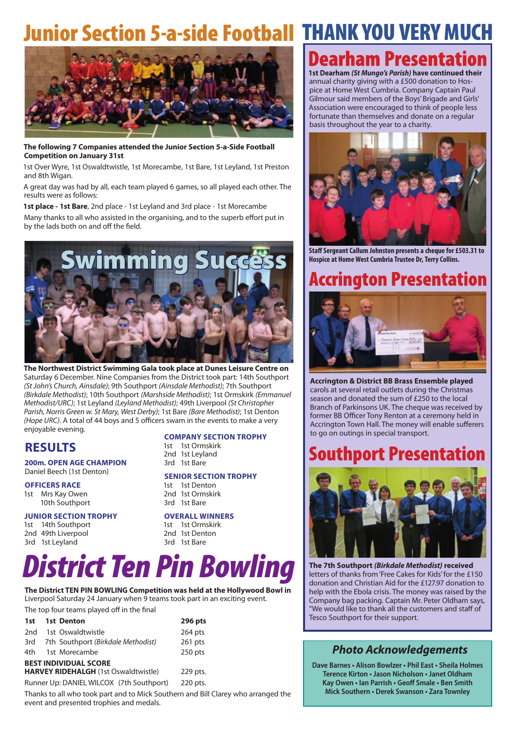## Junior Section 5-a-side Football THANK YOU VERY MUCH



**The following 7 Companies attended the Junior Section 5-a-Side Football Competition on January 31st**

1st Over Wyre, 1st Oswaldtwistle, 1st Morecambe, 1st Bare, 1st Leyland, 1st Preston and 8th Wigan.

A great day was had by all, each team played 6 games, so all played each other. The results were as follows:

**1st place - 1st Bare**, 2nd place - 1st Leyland and 3rd place - 1st Morecambe

Many thanks to all who assisted in the organising, and to the superb effort put in by the lads both on and off the field.



**The Northwest District Swimming Gala took place at Dunes Leisure Centre on** Saturday 6 December. Nine Companies from the District took part: 14th Southport *(St John's Church, Ainsdale)*; 9th Southport *(Ainsdale Methodist)*; 7th Southport *(Birkdale Methodist)*; 10th Southport *(Marshside Methodist)*; 1st Ormskirk *(Emmanuel Methodist/URC)*; 1st Leyland *(Leyland Methodist)*; 49th Liverpool *(St Christopher Parish, Norris Green w. St Mary, West Derby)*; 1st Bare *(Bare Methodist)*; 1st Denton *(Hope URC)*. A total of 44 boys and 5 officers swam in the events to make a very enjoyable evening.

### **RESULTS**

#### **200m. OPEN AGE CHAMPION** Daniel Beech (1st Denton)

**OFFICERS RACE** 1st Mrs Kay Owen 10th Southport

#### **JUNIOR SECTION TROPHY**

1st 14th Southport 2nd 49th Liverpool 3rd 1st Leyland

#### **COMPANY SECTION TROPHY**

1st 1st Ormskirk 2nd 1st Leyland 3rd 1st Bare

#### **SENIOR SECTION TROPHY**

1st 1st Denton 2nd 1st Ormskirk 3rd 1st Bare

#### **OVERALL WINNERS**

1st 1st Ormskirk 2nd 1st Denton 3rd 1st Bare

# *District Ten Pin Bowling*

**The District TEN PIN BOWLING Competition was held at the Hollywood Bowl in** Liverpool Saturday 24 January when 9 teams took part in an exciting event.

The top four teams played off in the final

| 1st                                      | 1st Denton                                  | 296 pts   |
|------------------------------------------|---------------------------------------------|-----------|
| 2nd                                      | 1st Oswaldtwistle                           | 264 pts   |
|                                          | 3rd 7th Southport (Birkdale Methodist)      | $261$ pts |
| 4th -                                    | 1st Morecambe                               | $250$ pts |
| <b>BEST INDIVIDUAL SCORE</b>             |                                             |           |
|                                          | <b>HARVEY RIDEHALGH</b> (1st Oswaldtwistle) | 229 pts.  |
| Runner Up: DANIEL WILCOX (7th Southport) | 220 pts.                                    |           |

Thanks to all who took part and to Mick Southern and Bill Clarey who arranged the event and presented trophies and medals.

## **Dearham Presentation**

**1st Dearham** *(St Mungo's Parish)* **have continued their** annual charity giving with a £500 donation to Hospice at Home West Cumbria. Company Captain Paul Gilmour said members of the Boys' Brigade and Girls' Association were encouraged to think of people less fortunate than themselves and donate on a regular basis throughout the year to a charity.



**Staff Sergeant Callum Johnston presents a cheque for £503.31 to Hospice at Home West Cumbria Trustee Dr, Terry Collins.**

### **Accrington Presentation**



**Accrington & District BB Brass Ensemble played** carols at several retail outlets during the Christmas season and donated the sum of £250 to the local Branch of Parkinsons UK. The cheque was received by former BB Officer Tony Renton at a ceremony held in Accrington Town Hall. The money will enable sufferers to go on outings in special transport.

### Southport Presentation



**The 7th Southport** *(Birkdale Methodist)* **received**  letters of thanks from 'Free Cakes for Kids' for the £150 donation and Christian Aid for the £127.97 donation to help with the Ebola crisis. The money was raised by the Company bag packing. Captain Mr. Peter Oldham says, "We would like to thank all the customers and staff of Tesco Southport for their support.

### *Photo Acknowledgements*

**Dave Barnes • Alison Bowlzer • Phil East • Sheila Holmes Terence Kirton • Jason Nicholson • Janet Oldham Kay Owen • Ian Parrish • Geoff Smale • Ben Smith Mick Southern • Derek Swanson • Zara Townley**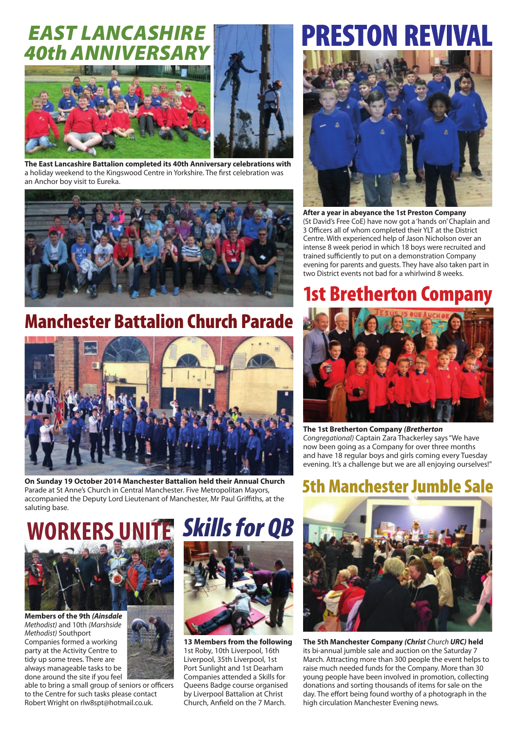## *EAST LANCASHIRE*  **40th ANNI**



**The East Lancashire Battalion completed its 40th Anniversary celebrations with** a holiday weekend to the Kingswood Centre in Yorkshire. The first celebration was an Anchor boy visit to Eureka.



## Manchester Battalion Church Parade



**On Sunday 19 October 2014 Manchester Battalion held their Annual Church**  Parade at St Anne's Church in Central Manchester. Five Metropolitan Mayors, accompanied the Deputy Lord Lieutenant of Manchester, Mr Paul Griffiths, at the saluting base.



**Members of the 9th** *(Ainsdale Methodist)* and 10th *(Marshside Methodist)* Southport Companies formed a working party at the Activity Centre to tidy up some trees. There are always manageable tasks to be done around the site if you feel



able to bring a small group of seniors or officers to the Centre for such tasks please contact Robert Wright on rlw8spt@hotmail.co.uk.



**13 Members from the following** 1st Roby, 10th Liverpool, 16th Liverpool, 35th Liverpool, 1st Port Sunlight and 1st Dearham Companies attended a Skills for Queens Badge course organised by Liverpool Battalion at Christ Church, Anfield on the 7 March.

# PRESTON REVIVAL



**After a year in abeyance the 1st Preston Company**  (St David's Free CoE) have now got a 'hands on' Chaplain and 3 Officers all of whom completed their YLT at the District Centre. With experienced help of Jason Nicholson over an intense 8 week period in which 18 boys were recruited and trained sufficiently to put on a demonstration Company evening for parents and guests. They have also taken part in two District events not bad for a whirlwind 8 weeks.

## 1st Bretherton Company



**The 1st Bretherton Company** *(Bretherton Congregational)* Captain Zara Thackerley says "We have now been going as a Company for over three months and have 18 regular boys and girls coming every Tuesday evening. It's a challenge but we are all enjoying ourselves!"

### 5th Manchester Jumble Sale



**The 5th Manchester Company** *(Christ Church URC)* **held** its bi-annual jumble sale and auction on the Saturday 7 March. Attracting more than 300 people the event helps to raise much needed funds for the Company. More than 30 young people have been involved in promotion, collecting donations and sorting thousands of items for sale on the day. The effort being found worthy of a photograph in the high circulation Manchester Evening news.